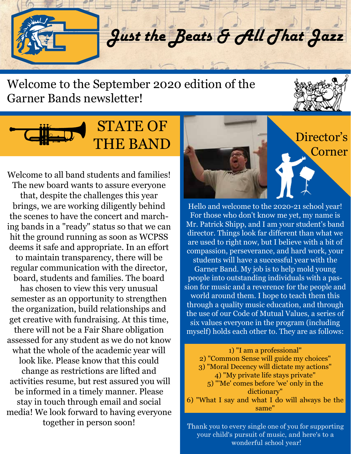Just the Beats & All That Jazz

#### Welcome to the September 2020 edition of the Garner Bands newsletter!





Welcome to all band students and families! The new board wants to assure everyone that, despite the challenges this year brings, we are working diligently behind the scenes to have the concert and marching bands in a "ready" status so that we can hit the ground running as soon as WCPSS deems it safe and appropriate. In an effort to maintain transparency, there will be regular communication with the director, board, students and families. The board has chosen to view this very unusual semester as an opportunity to strengthen the organization, build relationships and get creative with fundraising. At this time, there will not be a Fair Share obligation assessed for any student as we do not know what the whole of the academic year will look like. Please know that this could change as restrictions are lifted and activities resume, but rest assured you will be informed in a timely manner. Please stay in touch through email and social media! We look forward to having everyone together in person soon!<br>Thank you to every single one of you for supporting



Hello and welcome to the 2020-21 school year! For those who don't know me yet, my name is Mr. Patrick Shipp, and I am your student's band director. Things look far different than what we are used to right now, but I believe with a bit of compassion, perseverance, and hard work, your students will have a successful year with the Garner Band. My job is to help mold young people into outstanding individuals with a passion for music and a reverence for the people and world around them. I hope to teach them this through a quality music education, and through the use of our Code of Mutual Values, a series of six values everyone in the program (including myself) holds each other to. They are as follows:

1) "I am a professional" 2) "Common Sense will guide my choices" 3) "Moral Decency will dictate my actions" 4) "My private life stays private" 5) "'Me' comes before 'we' only in the dictionary" 6) "What I say and what I do will always be the same"

your child's pursuit of music, and here's to a wonderful school year!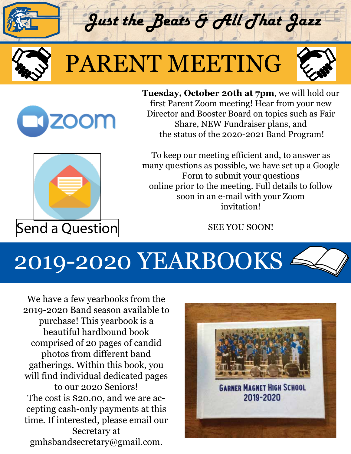

## PARENT MEETING

Just the Beats & All That Jazz



**ZOOM** 

**Tuesday, October 20th at 7pm**, we will hold our first Parent Zoom meeting! Hear from your new Director and Booster Board on topics such as Fair Share, NEW Fundraiser plans, and the status of the 2020-2021 Band Program!



[Send a Question](https://docs.google.com/forms/d/e/1FAIpQLSedx2Y4K5WvBet00hb7Z9aOnp2suPE6jARvbzOTN9TYWvi9EA/viewform) SEE YOU SOON!

To keep our meeting efficient and, to answer as many questions as possible, we have set up a Google Form to submit your questions online prior to the meeting. Full details to follow soon in an e-mail with your Zoom invitation!

## 2019-2020 YEARBOOKS <sup>2</sup>

We have a few yearbooks from the 2019-2020 Band season available to purchase! This yearbook is a beautiful hardbound book comprised of 20 pages of candid photos from different band gatherings. Within this book, you will find individual dedicated pages to our 2020 Seniors! The cost is \$20.00, and we are accepting cash-only payments at this time. If interested, please email our Secretary at gmhsbandsecretary@gmail.com.

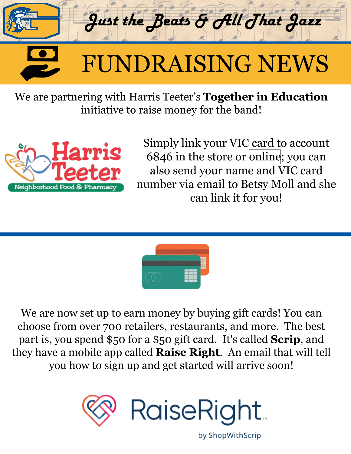

We are partnering with Harris Teeter's **Together in Education** initiative to raise money for the band!



Simply link your VIC card to account 6846 in the store or [online](https://www.harristeeter.com/user/login?fromTIE=true); you can also send your name and VIC card number via email to Betsy Moll and she can link it for you!



We are now set up to earn money by buying gift cards! You can choose from over 700 retailers, restaurants, and more. The best part is, you spend \$50 for a \$50 gift card. It's called **Scrip**, and they have a mobile app called **Raise Right**. An email that will tell you how to sign up and get started will arrive soon!



by ShopWithScrip